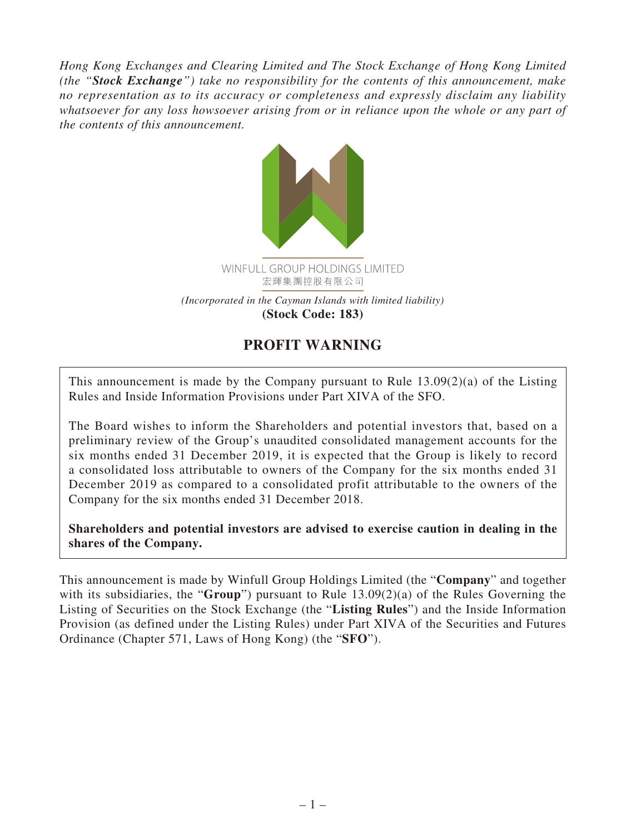*Hong Kong Exchanges and Clearing Limited and The Stock Exchange of Hong Kong Limited (the "Stock Exchange") take no responsibility for the contents of this announcement, make no representation as to its accuracy or completeness and expressly disclaim any liability whatsoever for any loss howsoever arising from or in reliance upon the whole or any part of the contents of this announcement.*



## **PROFIT WARNING**

This announcement is made by the Company pursuant to Rule 13.09(2)(a) of the Listing Rules and Inside Information Provisions under Part XIVA of the SFO.

The Board wishes to inform the Shareholders and potential investors that, based on a preliminary review of the Group's unaudited consolidated management accounts for the six months ended 31 December 2019, it is expected that the Group is likely to record a consolidated loss attributable to owners of the Company for the six months ended 31 December 2019 as compared to a consolidated profit attributable to the owners of the Company for the six months ended 31 December 2018.

**Shareholders and potential investors are advised to exercise caution in dealing in the shares of the Company.**

This announcement is made by Winfull Group Holdings Limited (the "**Company**" and together with its subsidiaries, the "**Group**") pursuant to Rule 13.09(2)(a) of the Rules Governing the Listing of Securities on the Stock Exchange (the "**Listing Rules**") and the Inside Information Provision (as defined under the Listing Rules) under Part XIVA of the Securities and Futures Ordinance (Chapter 571, Laws of Hong Kong) (the "**SFO**").